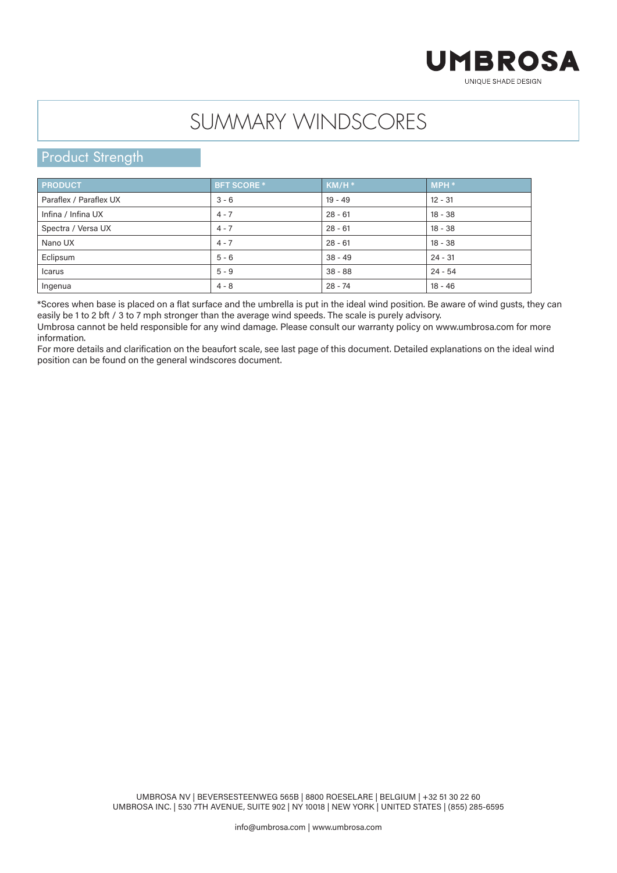## **UMBROSA** UNIOUE SHADE DESIGN

## SUMMARY WINDSCORES

## **Product Strength**

| <b>PRODUCT</b>         | <b>BFT SCORE *</b> | $KM/H^*$  | $MPH *$   |
|------------------------|--------------------|-----------|-----------|
| Paraflex / Paraflex UX | $3 - 6$            | $19 - 49$ | $12 - 31$ |
| Infina / Infina UX     | $4 - 7$            | $28 - 61$ | $18 - 38$ |
| Spectra / Versa UX     | $4 - 7$            | $28 - 61$ | $18 - 38$ |
| Nano UX                | $4 - 7$            | $28 - 61$ | $18 - 38$ |
| Eclipsum               | $5 - 6$            | $38 - 49$ | $24 - 31$ |
| Icarus                 | $5 - 9$            | $38 - 88$ | $24 - 54$ |
| Ingenua                | $4 - 8$            | $28 - 74$ | $18 - 46$ |

\*Scores when base is placed on a flat surface and the umbrella is put in the ideal wind position. Be aware of wind gusts, they can easily be 1 to 2 bft / 3 to 7 mph stronger than the average wind speeds. The scale is purely advisory.

Umbrosa cannot be held responsible for any wind damage. Please consult our warranty policy on www.umbrosa.com for more information.

For more details and clarification on the beaufort scale, see last page of this document. Detailed explanations on the ideal wind position can be found on the general windscores document.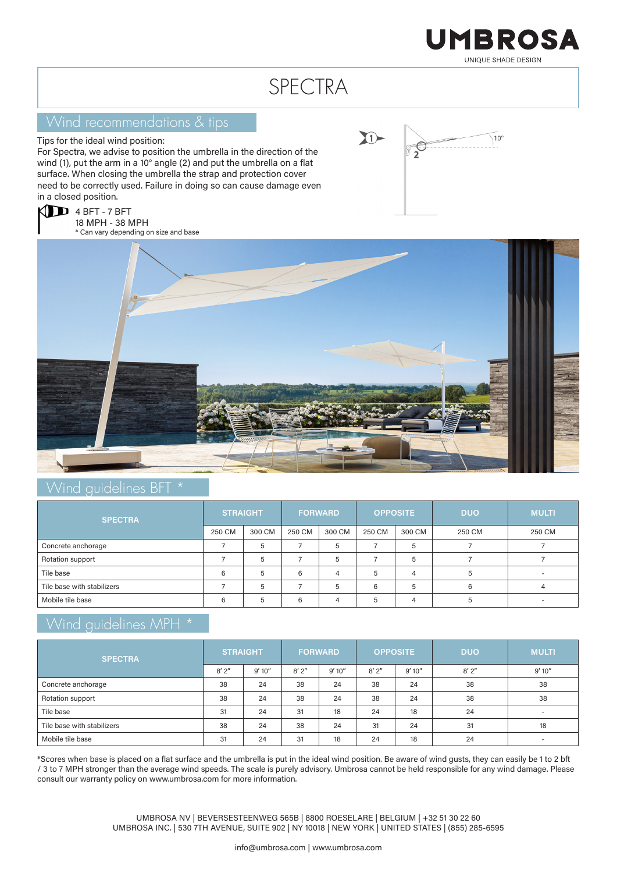

# SPECTRA

### Wind recommendations & tips

Tips for the ideal wind position:

For Spectra, we advise to position the umbrella in the direction of the wind (1), put the arm in a 10° angle (2) and put the umbrella on a flat surface. When closing the umbrella the strap and protection cover need to be correctly used. Failure in doing so can cause damage even in a closed position.







#### Wind guidelines BFT \*

| <b>SPECTRA</b>             | <b>STRAIGHT</b> |        | <b>FORWARD</b> |        | <b>OPPOSITE</b> |        | <b>DUO</b> | <b>MULTI</b> |
|----------------------------|-----------------|--------|----------------|--------|-----------------|--------|------------|--------------|
|                            | 250 CM          | 300 CM | 250 CM         | 300 CM | 250 CM          | 300 CM | 250 CM     | 250 CM       |
| Concrete anchorage         |                 | 5      |                | 5      |                 | 5      |            |              |
| Rotation support           |                 | 5      |                | 5      |                 | 5      |            |              |
| Tile base                  | 6               | 5      | 6              | Δ      | 5               |        |            |              |
| Tile base with stabilizers |                 | 5      |                | 5      | 6               | 5      | 6          |              |
| Mobile tile base           | 6               | ∽      | 6              |        | 5               |        |            |              |

### Wind guidelines MPH \*

| <b>SPECTRA</b>             | <b>STRAIGHT</b> |        | <b>FORWARD</b> |        | <b>OPPOSITE</b> |        | <b>DUO</b> | <b>MULTI</b>             |
|----------------------------|-----------------|--------|----------------|--------|-----------------|--------|------------|--------------------------|
|                            | 8'2''           | 9'10'' | 8'2''          | 9'10'' | $8'$ 2"         | 9'10'' | $8'$ $2''$ | 9'10''                   |
| Concrete anchorage         | 38              | 24     | 38             | 24     | 38              | 24     | 38         | 38                       |
| Rotation support           | 38              | 24     | 38             | 24     | 38              | 24     | 38         | 38                       |
| Tile base                  | 31              | 24     | 31             | 18     | 24              | 18     | 24         | $\overline{\phantom{a}}$ |
| Tile base with stabilizers | 38              | 24     | 38             | 24     | 31              | 24     | 31         | 18                       |
| Mobile tile base           | 31              | 24     | 31             | 18     | 24              | 18     | 24         |                          |

\*Scores when base is placed on a flat surface and the umbrella is put in the ideal wind position. Be aware of wind gusts, they can easily be 1 to 2 bft / 3 to 7 MPH stronger than the average wind speeds. The scale is purely advisory. Umbrosa cannot be held responsible for any wind damage. Please consult our warranty policy on www.umbrosa.com for more information.

> UMBROSA NV | BEVERSESTEENWEG 565B | 8800 ROESELARE | BELGIUM | +32 51 30 22 60 UMBROSA INC. | 530 7TH AVENUE, SUITE 902 | NY 10018 | NEW YORK | UNITED STATES | (855) 285-6595